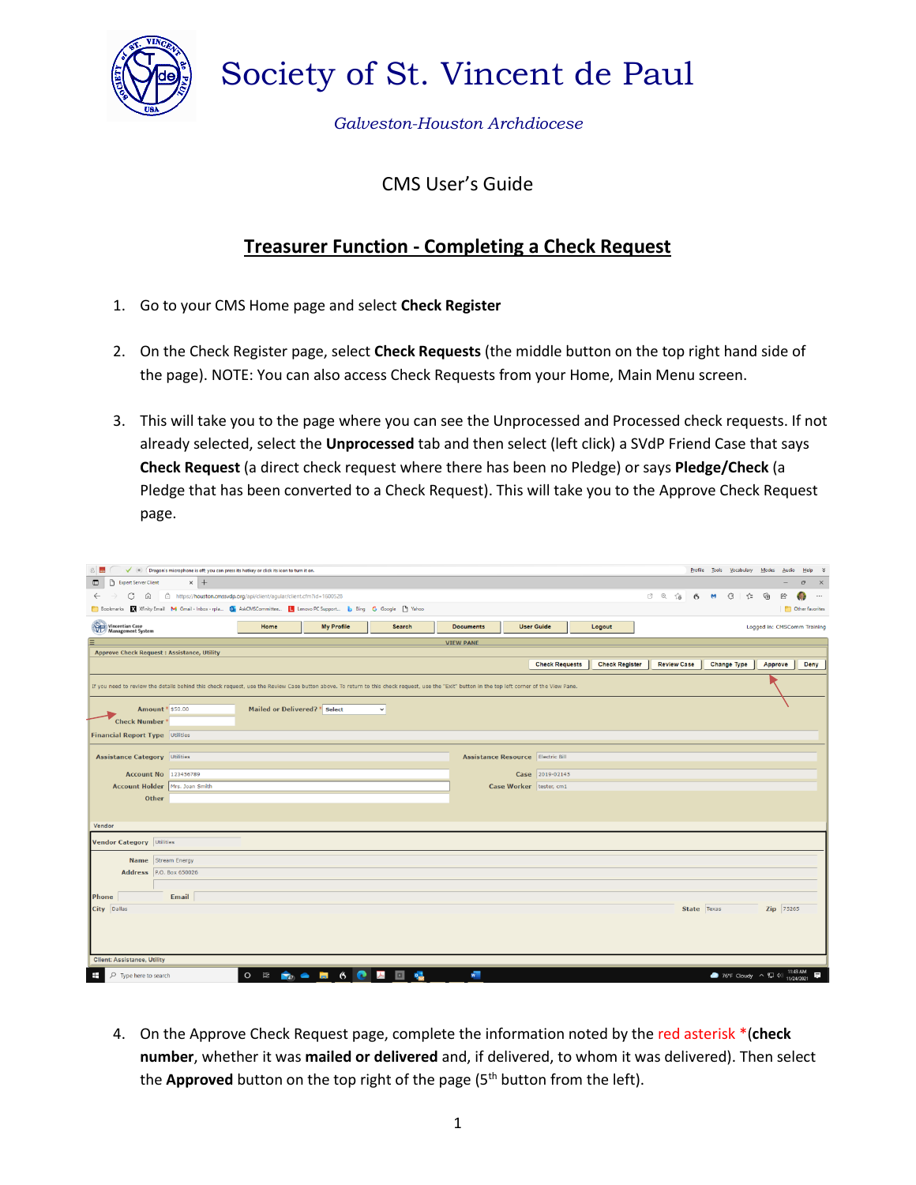

Society of St. Vincent de Paul

*Galveston-Houston Archdiocese*

## CMS User's Guide

## **Treasurer Function - Completing a Check Request**

- 1. Go to your CMS Home page and select **Check Register**
- 2. On the Check Register page, select **Check Requests** (the middle button on the top right hand side of the page). NOTE: You can also access Check Requests from your Home, Main Menu screen.
- 3. This will take you to the page where you can see the Unprocessed and Processed check requests. If not already selected, select the **Unprocessed** tab and then select (left click) a SVdP Friend Case that says **Check Request** (a direct check request where there has been no Pledge) or says **Pledge/Check** (a Pledge that has been converted to a Check Request). This will take you to the Approve Check Request page.

| $\checkmark$ (0) (Dragon's microphone is off; you can press its hotkey or click its icon to turn it on.                                                                                        |                               |                                                                                                          |              |                  |                           |                   |  |        |  |  |             |  | Profile Tools Vocabulary | Modes    | Audio       | Help %                            |
|------------------------------------------------------------------------------------------------------------------------------------------------------------------------------------------------|-------------------------------|----------------------------------------------------------------------------------------------------------|--------------|------------------|---------------------------|-------------------|--|--------|--|--|-------------|--|--------------------------|----------|-------------|-----------------------------------|
| Expert Server Client<br>$\times$ +<br>$\blacksquare$                                                                                                                                           |                               |                                                                                                          |              |                  |                           |                   |  |        |  |  |             |  |                          |          |             | $\sigma$<br>$\mathbb{R}^{\times}$ |
| C A B https://houston.cmssvdp.org/api/client/agular/client.cfm?id=1600528<br>$0$ $\odot$ $\odot$ $\odot$ 6<br>€<br>⊕<br>$\leftarrow$<br>$\rightarrow$<br>$\bullet$<br>੯≡                       |                               |                                                                                                          |              |                  |                           |                   |  |        |  |  |             |  | 囵                        | $\cdots$ |             |                                   |
| Bookmarks M Xfinity Email M Gmail - Inbox - rpla Dr AskCMSCommittee I Lenovo PC Support b Bing G Google [1] Yahoo<br><b>C</b> Other favorites                                                  |                               |                                                                                                          |              |                  |                           |                   |  |        |  |  |             |  |                          |          |             |                                   |
| Vincentian Case<br>Management System                                                                                                                                                           | Home                          | <b>My Profile</b>                                                                                        | Search       | <b>Documents</b> |                           | <b>User Guide</b> |  | Logout |  |  |             |  |                          |          |             | Logged in: CMSComm Training       |
| $\equiv$                                                                                                                                                                                       |                               |                                                                                                          |              | <b>VIEW PANE</b> |                           |                   |  |        |  |  |             |  |                          |          |             |                                   |
| <b>Approve Check Request: Assistance, Utility</b>                                                                                                                                              |                               |                                                                                                          |              |                  |                           |                   |  |        |  |  |             |  |                          |          |             |                                   |
| <b>Check Requests</b><br><b>Check Register</b><br><b>Review Case</b><br><b>Change Type</b><br>Approve                                                                                          |                               |                                                                                                          |              |                  |                           |                   |  |        |  |  |             |  |                          |          | <b>Deny</b> |                                   |
| If you need to review the details behind this check request, use the Review Case button above. To return to this check request, use the "Exit" button in the top left corner of the View Pane. |                               |                                                                                                          |              |                  |                           |                   |  |        |  |  |             |  |                          |          |             |                                   |
| Amount * \$50.00                                                                                                                                                                               | Mailed or Delivered? * Select |                                                                                                          | $\checkmark$ |                  |                           |                   |  |        |  |  |             |  |                          |          |             |                                   |
| Check Number <sup>3</sup>                                                                                                                                                                      |                               |                                                                                                          |              |                  |                           |                   |  |        |  |  |             |  |                          |          |             |                                   |
| <b>Financial Report Type Utilities</b>                                                                                                                                                         |                               |                                                                                                          |              |                  |                           |                   |  |        |  |  |             |  |                          |          |             |                                   |
|                                                                                                                                                                                                |                               |                                                                                                          |              |                  |                           |                   |  |        |  |  |             |  |                          |          |             |                                   |
| <b>Assistance Category Utilities</b><br><b>Assistance Resource Electric Bill</b>                                                                                                               |                               |                                                                                                          |              |                  |                           |                   |  |        |  |  |             |  |                          |          |             |                                   |
| Account No 123456789                                                                                                                                                                           |                               |                                                                                                          |              |                  |                           | Case 2019-02145   |  |        |  |  |             |  |                          |          |             |                                   |
| Account Holder   Mrs. Joan Smith                                                                                                                                                               |                               |                                                                                                          |              |                  | Case Worker   tester, cm1 |                   |  |        |  |  |             |  |                          |          |             |                                   |
| Other                                                                                                                                                                                          |                               |                                                                                                          |              |                  |                           |                   |  |        |  |  |             |  |                          |          |             |                                   |
|                                                                                                                                                                                                |                               |                                                                                                          |              |                  |                           |                   |  |        |  |  |             |  |                          |          |             |                                   |
| Vendor                                                                                                                                                                                         |                               |                                                                                                          |              |                  |                           |                   |  |        |  |  |             |  |                          |          |             |                                   |
| <b>Vendor Category Utilities</b>                                                                                                                                                               |                               |                                                                                                          |              |                  |                           |                   |  |        |  |  |             |  |                          |          |             |                                   |
| Name Stream Energy                                                                                                                                                                             |                               |                                                                                                          |              |                  |                           |                   |  |        |  |  |             |  |                          |          |             |                                   |
| Address P.O. Box 650026                                                                                                                                                                        |                               |                                                                                                          |              |                  |                           |                   |  |        |  |  |             |  |                          |          |             |                                   |
|                                                                                                                                                                                                |                               |                                                                                                          |              |                  |                           |                   |  |        |  |  |             |  |                          |          |             |                                   |
| Email<br>Phone                                                                                                                                                                                 |                               |                                                                                                          |              |                  |                           |                   |  |        |  |  |             |  |                          |          |             |                                   |
| City Dallas                                                                                                                                                                                    |                               |                                                                                                          |              |                  |                           |                   |  |        |  |  | State Texas |  |                          |          | Zip 75265   |                                   |
|                                                                                                                                                                                                |                               |                                                                                                          |              |                  |                           |                   |  |        |  |  |             |  |                          |          |             |                                   |
|                                                                                                                                                                                                |                               |                                                                                                          |              |                  |                           |                   |  |        |  |  |             |  |                          |          |             |                                   |
|                                                                                                                                                                                                |                               |                                                                                                          |              |                  |                           |                   |  |        |  |  |             |  |                          |          |             |                                   |
| <b>Client: Assistance, Utility</b>                                                                                                                                                             |                               |                                                                                                          |              |                  |                           |                   |  |        |  |  |             |  |                          |          |             |                                   |
| ⊞<br>O<br>Type here to search                                                                                                                                                                  | $\Xi$<br>$\circ$              | $\blacksquare$ $\blacksquare$ $\blacksquare$ $\blacksquare$ $\blacksquare$ $\blacksquare$ $\blacksquare$ | $\Box$       | w                |                           |                   |  |        |  |  |             |  | ● 76°F Cloudy へ 口 中      |          | 11/24/2021  |                                   |

4. On the Approve Check Request page, complete the information noted by the red asterisk \*(**check number**, whether it was **mailed or delivered** and, if delivered, to whom it was delivered). Then select the **Approved** button on the top right of the page (5<sup>th</sup> button from the left).